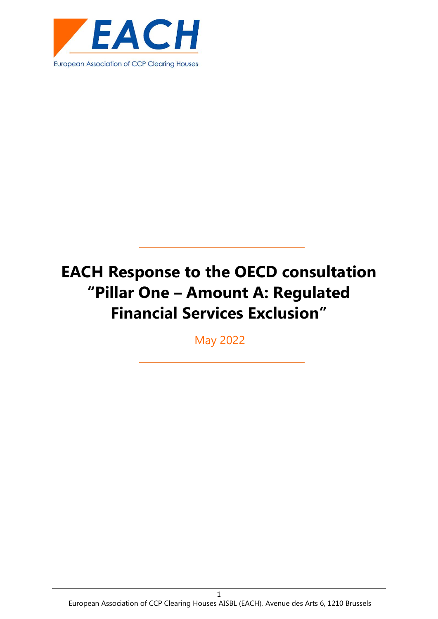

May 2022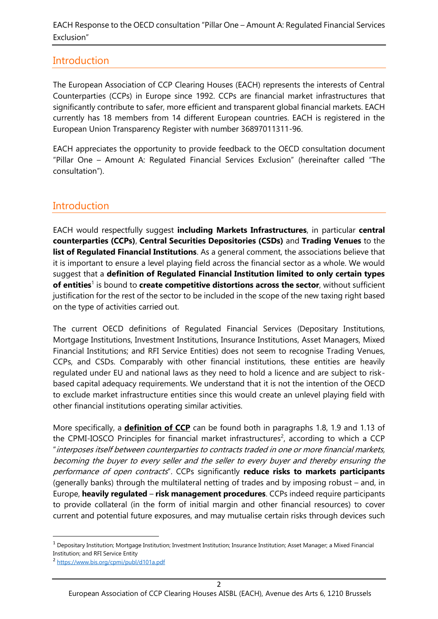## **Introduction**

The European Association of CCP Clearing Houses (EACH) represents the interests of Central Counterparties (CCPs) in Europe since 1992. CCPs are financial market infrastructures that significantly contribute to safer, more efficient and transparent global financial markets. EACH currently has 18 members from 14 different European countries. EACH is registered in the European Union Transparency Register with number 36897011311-96.

EACH appreciates the opportunity to provide feedback to the OECD consultation document "Pillar One – Amount A: Regulated Financial Services Exclusion" (hereinafter called "The consultation").

# **Introduction**

EACH would respectfully suggest **including Markets Infrastructures**, in particular **central counterparties (CCPs)**, **Central Securities Depositories (CSDs)** and **Trading Venues** to the **list of Regulated Financial Institutions**. As a general comment, the associations believe that it is important to ensure a level playing field across the financial sector as a whole. We would suggest that a **definition of Regulated Financial Institution limited to only certain types**  of entities<sup>1</sup> is bound to create competitive distortions across the sector, without sufficient justification for the rest of the sector to be included in the scope of the new taxing right based on the type of activities carried out.

The current OECD definitions of Regulated Financial Services (Depositary Institutions, Mortgage Institutions, Investment Institutions, Insurance Institutions, Asset Managers, Mixed Financial Institutions; and RFI Service Entities) does not seem to recognise Trading Venues, CCPs, and CSDs. Comparably with other financial institutions, these entities are heavily regulated under EU and national laws as they need to hold a licence and are subject to riskbased capital adequacy requirements. We understand that it is not the intention of the OECD to exclude market infrastructure entities since this would create an unlevel playing field with other financial institutions operating similar activities.

More specifically, a **definition of CCP** can be found both in paragraphs 1.8, 1.9 and 1.13 of the CPMI-IOSCO Principles for financial market infrastructures<sup>2</sup>, according to which a CCP "interposes itself between counterparties to contracts traded in one or more financial markets, becoming the buyer to every seller and the seller to every buyer and thereby ensuring the performance of open contracts". CCPs significantly **reduce risks to markets participants** (generally banks) through the multilateral netting of trades and by imposing robust – and, in Europe, **heavily regulated** – **risk management procedures**. CCPs indeed require participants to provide collateral (in the form of initial margin and other financial resources) to cover current and potential future exposures, and may mutualise certain risks through devices such

 $1$  Depositary Institution; Mortgage Institution; Investment Institution; Insurance Institution; Asset Manager; a Mixed Financial Institution; and RFI Service Entity

<sup>2</sup> <https://www.bis.org/cpmi/publ/d101a.pdf>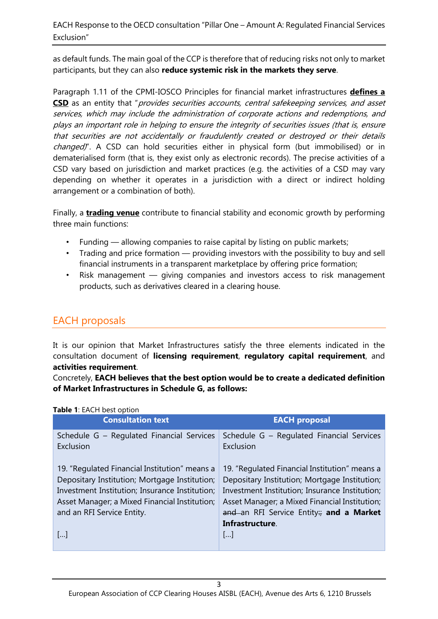as default funds. The main goal of the CCP is therefore that of reducing risks not only to market participants, but they can also **reduce systemic risk in the markets they serve**.

Paragraph 1.11 of the CPMI-IOSCO Principles for financial market infrastructures **defines a**  CSD as an entity that "provides securities accounts, central safekeeping services, and asset services, which may include the administration of corporate actions and redemptions, and plays an important role in helping to ensure the integrity of securities issues (that is, ensure that securities are not accidentally or fraudulently created or destroyed or their details changed)". A CSD can hold securities either in physical form (but immobilised) or in dematerialised form (that is, they exist only as electronic records). The precise activities of a CSD vary based on jurisdiction and market practices (e.g. the activities of a CSD may vary depending on whether it operates in a jurisdiction with a direct or indirect holding arrangement or a combination of both).

Finally, a **trading venue** contribute to financial stability and economic growth by performing three main functions:

- Funding allowing companies to raise capital by listing on public markets;
- Trading and price formation providing investors with the possibility to buy and sell financial instruments in a transparent marketplace by offering price formation;
- Risk management giving companies and investors access to risk management products, such as derivatives cleared in a clearing house.

# EACH proposals

It is our opinion that Market Infrastructures satisfy the three elements indicated in the consultation document of **licensing requirement**, **regulatory capital requirement**, and **activities requirement**.

Concretely, **EACH believes that the best option would be to create a dedicated definition of Market Infrastructures in Schedule G, as follows:**

| <b>EACH proposal</b>                                                                                                                                                                                                                         |
|----------------------------------------------------------------------------------------------------------------------------------------------------------------------------------------------------------------------------------------------|
| Schedule G - Regulated Financial Services                                                                                                                                                                                                    |
| 19. "Regulated Financial Institution" means a<br>Depositary Institution; Mortgage Institution;<br>Investment Institution; Insurance Institution;<br>Asset Manager; a Mixed Financial Institution;<br>and an RFI Service Entity; and a Market |
|                                                                                                                                                                                                                                              |

#### **Table 1**: EACH best option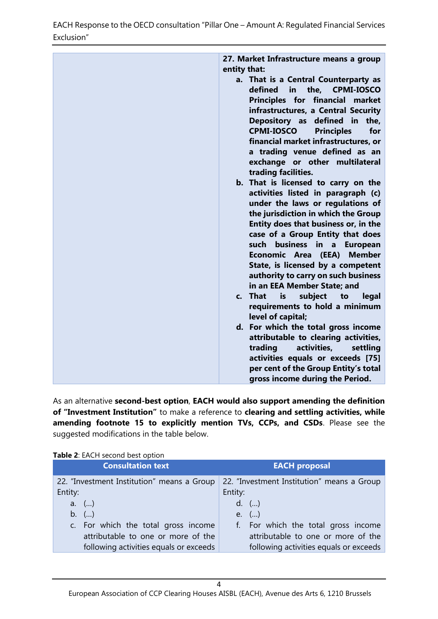| 27. Market Infrastructure means a group                                             |
|-------------------------------------------------------------------------------------|
| entity that:                                                                        |
| a. That is a Central Counterparty as<br>the, CPMI-IOSCO<br>defined<br>$\mathsf{in}$ |
| Principles for financial market                                                     |
| infrastructures, a Central Security<br>Depository as defined in<br>the,             |
| <b>CPMI-IOSCO</b><br><b>Principles</b><br>for                                       |
| financial market infrastructures, or                                                |
| a trading venue defined as an<br>exchange or other multilateral                     |
| trading facilities.                                                                 |
| b. That is licensed to carry on the                                                 |
| activities listed in paragraph (c)<br>under the laws or regulations of              |
| the jurisdiction in which the Group                                                 |
| Entity does that business or, in the                                                |
| case of a Group Entity that does<br>business in a<br>such<br><b>European</b>        |
| Economic Area (EEA)<br><b>Member</b>                                                |
| State, is licensed by a competent<br>authority to carry on such business            |
| in an EEA Member State; and                                                         |
| subject<br>c. That<br>is<br>legal<br>to<br>requirements to hold a minimum           |
| level of capital;                                                                   |
| d. For which the total gross income                                                 |
| attributable to clearing activities,<br>activities,<br>trading<br>settling          |
|                                                                                     |
| activities equals or exceeds [75]<br>per cent of the Group Entity's total           |
| gross income during the Period.                                                     |

As an alternative **second-best option**, **EACH would also support amending the definition of "Investment Institution"** to make a reference to **clearing and settling activities, while amending footnote 15 to explicitly mention TVs, CCPs, and CSDs**. Please see the suggested modifications in the table below.

| <b>Table 2:</b> EACH second best option    |                                            |
|--------------------------------------------|--------------------------------------------|
| <b>Consultation text</b>                   | <b>EACH proposal</b>                       |
| 22. "Investment Institution" means a Group | 22. "Investment Institution" means a Group |
| Entity:                                    | Entity:                                    |
| a. $()$                                    | $d.$ ()                                    |
| b. $()$                                    | e. $()$                                    |
| c. For which the total gross income        | f. For which the total gross income        |
| attributable to one or more of the         | attributable to one or more of the         |
| following activities equals or exceeds     | following activities equals or exceeds     |

**Table 2**: EACH second best option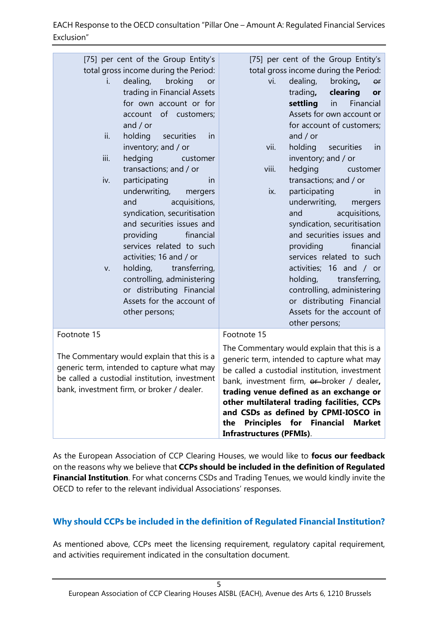| [75] per cent of the Group Entity's           | [75] per cent of the Group Entity's                        |
|-----------------------------------------------|------------------------------------------------------------|
| total gross income during the Period:         | total gross income during the Period:                      |
| dealing,<br>broking<br>i.<br>or               | dealing,<br>vi.<br>broking,<br>or                          |
| trading in Financial Assets                   | trading,<br>clearing<br>or                                 |
| for own account or for                        | settling<br>Financial<br>in                                |
| account of customers;                         | Assets for own account or                                  |
| and $/$ or                                    | for account of customers;                                  |
| ii.<br>holding<br>securities<br>in            | and $/$ or                                                 |
| inventory; and / or                           | vii.<br>holding securities<br>in                           |
| iii.<br>hedging<br>customer                   | inventory; and / or                                        |
| transactions; and / or                        | hedging<br>viii.<br>customer                               |
| iv.<br>participating<br>in                    | transactions; and / or                                     |
| underwriting,<br>mergers                      | participating<br>ix.<br>in                                 |
| acquisitions,<br>and                          | underwriting,<br>mergers                                   |
| syndication, securitisation                   | acquisitions,<br>and                                       |
| and securities issues and                     | syndication, securitisation                                |
| providing<br>financial                        | and securities issues and                                  |
| services related to such                      | providing<br>financial                                     |
| activities; 16 and / or                       | services related to such                                   |
| holding,<br>transferring,<br>V.               | activities; 16 and / or                                    |
| controlling, administering                    | holding, transferring,                                     |
| or distributing Financial                     | controlling, administering                                 |
| Assets for the account of                     | or distributing Financial                                  |
| other persons;                                | Assets for the account of                                  |
|                                               | other persons;                                             |
| Footnote 15                                   | Footnote 15                                                |
|                                               | The Commentary would explain that this is a                |
| The Commentary would explain that this is a   | generic term, intended to capture what may                 |
| generic term, intended to capture what may    | be called a custodial institution, investment              |
| be called a custodial institution, investment | bank, investment firm, or broker / dealer,                 |
| bank, investment firm, or broker / dealer.    | trading venue defined as an exchange or                    |
|                                               | other multilateral trading facilities, CCPs                |
|                                               | and CSDs as defined by CPMI-IOSCO in                       |
|                                               | <b>Principles</b><br>for Financial<br><b>Market</b><br>the |
|                                               | <b>Infrastructures (PFMIs).</b>                            |

As the European Association of CCP Clearing Houses, we would like to **focus our feedback** on the reasons why we believe that **CCPs should be included in the definition of Regulated Financial Institution**. For what concerns CSDs and Trading Tenues, we would kindly invite the OECD to refer to the relevant individual Associations' responses.

## **Why should CCPs be included in the definition of Regulated Financial Institution?**

As mentioned above, CCPs meet the licensing requirement, regulatory capital requirement, and activities requirement indicated in the consultation document.

5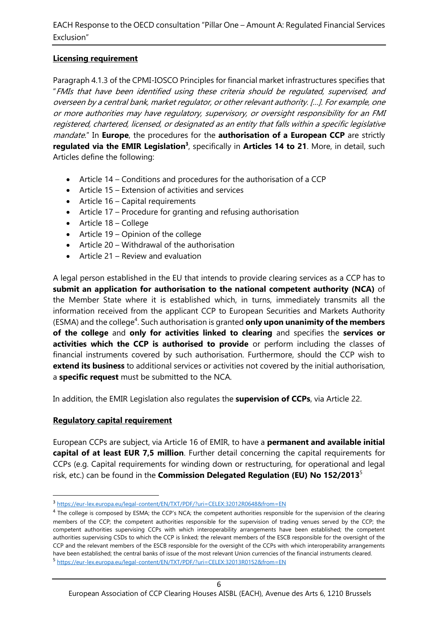## **Licensing requirement**

Paragraph 4.1.3 of the CPMI-IOSCO Principles for financial market infrastructures specifies that "FMIs that have been identified using these criteria should be regulated, supervised, and overseen by a central bank, market regulator, or other relevant authority. […]. For example, one or more authorities may have regulatory, supervisory, or oversight responsibility for an FMI registered, chartered, licensed, or designated as an entity that falls within a specific legislative mandate." In **Europe**, the procedures for the **authorisation of a European CCP** are strictly regulated via the EMIR Legislation<sup>3</sup>, specifically in Articles 14 to 21. More, in detail, such Articles define the following:

- Article 14 Conditions and procedures for the authorisation of a CCP
- Article 15 Extension of activities and services
- Article 16 Capital requirements
- Article 17 Procedure for granting and refusing authorisation
- Article 18 College
- Article 19 Opinion of the college
- Article 20 Withdrawal of the authorisation
- Article 21 Review and evaluation

A legal person established in the EU that intends to provide clearing services as a CCP has to **submit an application for authorisation to the national competent authority (NCA)** of the Member State where it is established which, in turns, immediately transmits all the information received from the applicant CCP to European Securities and Markets Authority (ESMA) and the college<sup>4</sup>. Such authorisation is granted **only upon unanimity of the members of the college** and **only for activities linked to clearing** and specifies the **services or activities which the CCP is authorised to provide** or perform including the classes of financial instruments covered by such authorisation. Furthermore, should the CCP wish to **extend its business** to additional services or activities not covered by the initial authorisation, a **specific request** must be submitted to the NCA.

In addition, the EMIR Legislation also regulates the **supervision of CCPs**, via Article 22.

## **Regulatory capital requirement**

European CCPs are subject, via Article 16 of EMIR, to have a **permanent and available initial capital of at least EUR 7,5 million**. Further detail concerning the capital requirements for CCPs (e.g. Capital requirements for winding down or restructuring, for operational and legal risk, etc.) can be found in the **Commission Delegated Regulation (EU) No 152/2013**<sup>5</sup>

<sup>3</sup> <https://eur-lex.europa.eu/legal-content/EN/TXT/PDF/?uri=CELEX:32012R0648&from=EN>

<sup>&</sup>lt;sup>4</sup> The college is composed by ESMA; the CCP's NCA; the competent authorities responsible for the supervision of the clearing members of the CCP; the competent authorities responsible for the supervision of trading venues served by the CCP; the competent authorities supervising CCPs with which interoperability arrangements have been established; the competent authorities supervising CSDs to which the CCP is linked; the relevant members of the ESCB responsible for the oversight of the CCP and the relevant members of the ESCB responsible for the oversight of the CCPs with which interoperability arrangements have been established; the central banks of issue of the most relevant Union currencies of the financial instruments cleared. 5 <https://eur-lex.europa.eu/legal-content/EN/TXT/PDF/?uri=CELEX:32013R0152&from=EN>